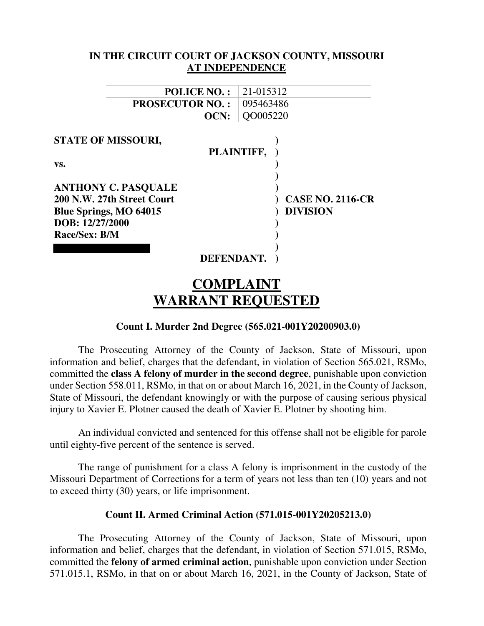| IN THE CIRCUIT COURT OF JACKSON COUNTY, MISSOURI |                         |
|--------------------------------------------------|-------------------------|
| <b>AT INDEPENDENCE</b>                           |                         |
|                                                  |                         |
| <b>POLICE NO.:</b>                               | 21-015312               |
| <b>PROSECUTOR NO.:</b>                           | 095463486               |
| OCN:                                             | QO005220                |
|                                                  |                         |
| <b>STATE OF MISSOURI,</b>                        |                         |
| PLAINTIFF,                                       |                         |
| VS.                                              |                         |
|                                                  |                         |
| <b>ANTHONY C. PASQUALE</b>                       |                         |
| 200 N.W. 27th Street Court                       | <b>CASE NO. 2116-CR</b> |
| Blue Springs, MO 64015                           | <b>DIVISION</b>         |
| DOB: 12/27/2000                                  |                         |
| Race/Sex: B/M                                    |                         |
|                                                  |                         |
| DEFENDANT.                                       |                         |

# **COMPLAINT WARRANT REQUESTED**

# **Count I. Murder 2nd Degree (565.021-001Y20200903.0)**

The Prosecuting Attorney of the County of Jackson, State of Missouri, upon information and belief, charges that the defendant, in violation of Section 565.021, RSMo, committed the **class A felony of murder in the second degree**, punishable upon conviction under Section 558.011, RSMo, in that on or about March 16, 2021, in the County of Jackson, State of Missouri, the defendant knowingly or with the purpose of causing serious physical injury to Xavier E. Plotner caused the death of Xavier E. Plotner by shooting him.

An individual convicted and sentenced for this offense shall not be eligible for parole until eighty-five percent of the sentence is served.

The range of punishment for a class A felony is imprisonment in the custody of the Missouri Department of Corrections for a term of years not less than ten (10) years and not to exceed thirty (30) years, or life imprisonment.

#### **Count II. Armed Criminal Action (571.015-001Y20205213.0)**

The Prosecuting Attorney of the County of Jackson, State of Missouri, upon information and belief, charges that the defendant, in violation of Section 571.015, RSMo, committed the **felony of armed criminal action**, punishable upon conviction under Section 571.015.1, RSMo, in that on or about March 16, 2021, in the County of Jackson, State of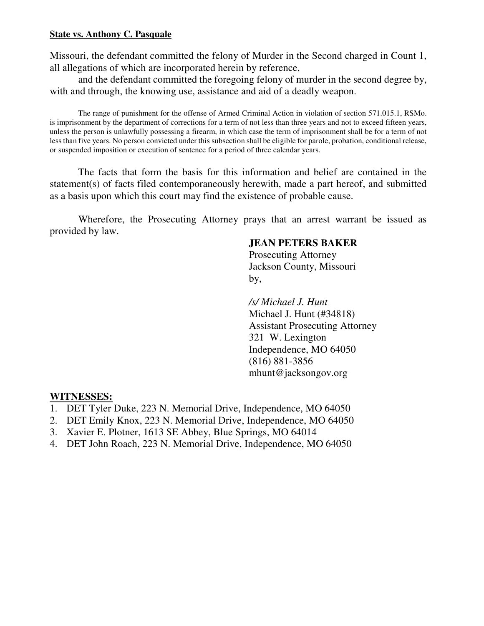#### **State vs. Anthony C. Pasquale**

Missouri, the defendant committed the felony of Murder in the Second charged in Count 1, all allegations of which are incorporated herein by reference,

and the defendant committed the foregoing felony of murder in the second degree by, with and through, the knowing use, assistance and aid of a deadly weapon.

The range of punishment for the offense of Armed Criminal Action in violation of section 571.015.1, RSMo. is imprisonment by the department of corrections for a term of not less than three years and not to exceed fifteen years, unless the person is unlawfully possessing a firearm, in which case the term of imprisonment shall be for a term of not less than five years. No person convicted under this subsection shall be eligible for parole, probation, conditional release, or suspended imposition or execution of sentence for a period of three calendar years.

The facts that form the basis for this information and belief are contained in the statement(s) of facts filed contemporaneously herewith, made a part hereof, and submitted as a basis upon which this court may find the existence of probable cause.

Wherefore, the Prosecuting Attorney prays that an arrest warrant be issued as provided by law.

# **JEAN PETERS BAKER**

 Prosecuting Attorney Jackson County, Missouri by,

> */s/ Michael J. Hunt*  Michael J. Hunt (#34818) Assistant Prosecuting Attorney 321 W. Lexington Independence, MO 64050 (816) 881-3856 mhunt@jacksongov.org

# **WITNESSES:**

- 1. DET Tyler Duke, 223 N. Memorial Drive, Independence, MO 64050
- 2. DET Emily Knox, 223 N. Memorial Drive, Independence, MO 64050
- 3. Xavier E. Plotner, 1613 SE Abbey, Blue Springs, MO 64014
- 4. DET John Roach, 223 N. Memorial Drive, Independence, MO 64050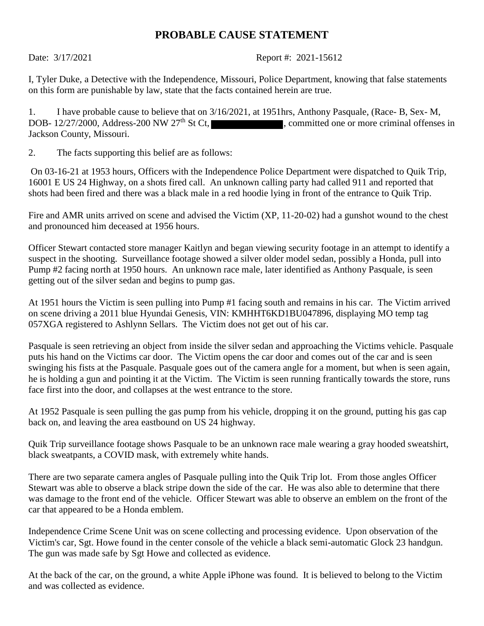# **PROBABLE CAUSE STATEMENT**

Date: 3/17/2021 Report #: 2021-15612

I, Tyler Duke, a Detective with the Independence, Missouri, Police Department, knowing that false statements on this form are punishable by law, state that the facts contained herein are true.

1. I have probable cause to believe that on 3/16/2021, at 1951hrs, Anthony Pasquale, (Race- B, Sex- M, DOB- 12/27/2000, Address-200 NW 27<sup>th</sup> St Ct, committed one or more criminal offenses in Jackson County, Missouri.

2. The facts supporting this belief are as follows:

On 03-16-21 at 1953 hours, Officers with the Independence Police Department were dispatched to Quik Trip, 16001 E US 24 Highway, on a shots fired call. An unknown calling party had called 911 and reported that shots had been fired and there was a black male in a red hoodie lying in front of the entrance to Quik Trip.

Fire and AMR units arrived on scene and advised the Victim (XP, 11-20-02) had a gunshot wound to the chest and pronounced him deceased at 1956 hours.

Officer Stewart contacted store manager Kaitlyn and began viewing security footage in an attempt to identify a suspect in the shooting. Surveillance footage showed a silver older model sedan, possibly a Honda, pull into Pump #2 facing north at 1950 hours. An unknown race male, later identified as Anthony Pasquale, is seen getting out of the silver sedan and begins to pump gas.

At 1951 hours the Victim is seen pulling into Pump #1 facing south and remains in his car. The Victim arrived on scene driving a 2011 blue Hyundai Genesis, VIN: KMHHT6KD1BU047896, displaying MO temp tag 057XGA registered to Ashlynn Sellars. The Victim does not get out of his car.

Pasquale is seen retrieving an object from inside the silver sedan and approaching the Victims vehicle. Pasquale puts his hand on the Victims car door. The Victim opens the car door and comes out of the car and is seen swinging his fists at the Pasquale. Pasquale goes out of the camera angle for a moment, but when is seen again, he is holding a gun and pointing it at the Victim. The Victim is seen running frantically towards the store, runs face first into the door, and collapses at the west entrance to the store.

At 1952 Pasquale is seen pulling the gas pump from his vehicle, dropping it on the ground, putting his gas cap back on, and leaving the area eastbound on US 24 highway.

Quik Trip surveillance footage shows Pasquale to be an unknown race male wearing a gray hooded sweatshirt, black sweatpants, a COVID mask, with extremely white hands.

There are two separate camera angles of Pasquale pulling into the Quik Trip lot. From those angles Officer Stewart was able to observe a black stripe down the side of the car. He was also able to determine that there was damage to the front end of the vehicle. Officer Stewart was able to observe an emblem on the front of the car that appeared to be a Honda emblem.

Independence Crime Scene Unit was on scene collecting and processing evidence. Upon observation of the Victim's car, Sgt. Howe found in the center console of the vehicle a black semi-automatic Glock 23 handgun. The gun was made safe by Sgt Howe and collected as evidence.

At the back of the car, on the ground, a white Apple iPhone was found. It is believed to belong to the Victim and was collected as evidence.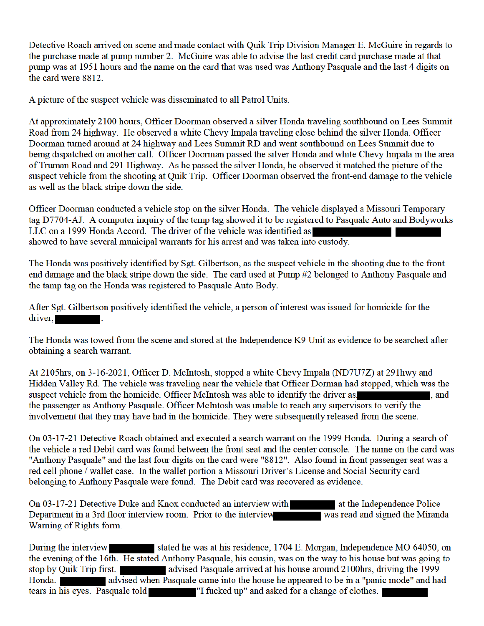Detective Roach arrived on scene and made contact with Quik Trip Division Manager E. McGuire in regards to the purchase made at pump number 2. McGuire was able to advise the last credit card purchase made at that pump was at 1951 hours and the name on the card that was used was Anthony Pasquale and the last 4 digits on the card were 8812.

A picture of the suspect vehicle was disseminated to all Patrol Units.

At approximately 2100 hours, Officer Doorman observed a silver Honda traveling southbound on Lees Summit Road from 24 highway. He observed a white Chevy Impala traveling close behind the silver Honda. Officer Doorman turned around at 24 highway and Lees Summit RD and went southbound on Lees Summit due to being dispatched on another call. Officer Doorman passed the silver Honda and white Chevy Impala in the area of Truman Road and 291 Highway. As he passed the silver Honda, he observed it matched the picture of the suspect vehicle from the shooting at Quik Trip. Officer Doorman observed the front-end damage to the vehicle as well as the black stripe down the side.

Officer Doorman conducted a vehicle stop on the silver Honda. The vehicle displayed a Missouri Temporary tag D7704-AJ. A computer inquiry of the temp tag showed it to be registered to Pasquale Auto and Bodyworks LLC on a 1999 Honda Accord. The driver of the vehicle was identified as showed to have several municipal warrants for his arrest and was taken into custody.

The Honda was positively identified by Sgt. Gilbertson, as the suspect vehicle in the shooting due to the frontend damage and the black stripe down the side. The card used at Pump #2 belonged to Anthony Pasquale and the tamp tag on the Honda was registered to Pasquale Auto Body.

After Sgt. Gilbertson positively identified the vehicle, a person of interest was issued for homicide for the  $\frac{div}{dx}$ .

The Honda was towed from the scene and stored at the Independence K9 Unit as evidence to be searched after obtaining a search warrant.

At 2105hrs, on 3-16-2021, Officer D. McIntosh, stopped a white Chevy Impala (ND7U7Z) at 291hwy and Hidden Valley Rd. The vehicle was traveling near the vehicle that Officer Dorman had stopped, which was the suspect vehicle from the homicide. Officer McIntosh was able to identify the driver as. . and the passenger as Anthony Pasquale. Officer McIntosh was unable to reach any supervisors to verify the involvement that they may have had in the homicide. They were subsequently released from the scene.

On 03-17-21 Detective Roach obtained and executed a search warrant on the 1999 Honda. During a search of the vehicle a red Debit card was found between the front seat and the center console. The name on the card was "Anthony Pasquale" and the last four digits on the card were "8812". Also found in front passenger seat was a red cell phone / wallet case. In the wallet portion a Missouri Driver's License and Social Security card belonging to Anthony Pasquale were found. The Debit card was recovered as evidence.

On 03-17-21 Detective Duke and Knox conducted an interview with at the Independence Police Department in a 3rd floor interview room. Prior to the interview was read and signed the Miranda Warning of Rights form.

stated he was at his residence, 1704 E. Morgan, Independence MO 64050, on During the interview the evening of the 16th. He stated Anthony Pasquale, his cousin, was on the way to his house but was going to stop by Quik Trip first. advised when Pasquale came into the house he appeared to be in a "panic mode" and had Honda. tears in his eyes. Pasquale told "I fucked up" and asked for a change of clothes.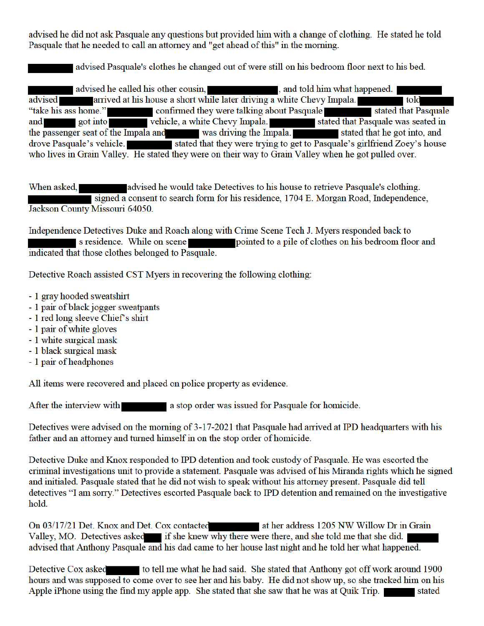advised he did not ask Pasquale any questions but provided him with a change of clothing. He stated he told Pasquale that he needed to call an attorney and "get ahead of this" in the morning.

advised Pasquale's clothes he changed out of were still on his bedroom floor next to his bed.

advised he called his other cousin, and told him what happened. advised and arrived at his house a short while later driving a white Chevy Impala. told "take his ass home." confirmed they were talking about Pasquale stated that Pasquale and got into which which was driving the Impala. Stated that Pasquale was seated in the passenger seat of the Impala and was driving the Impala. drove Pasquale's vehicle. stated that they were trying to get to Pasquale's girlfriend Zoey's house who lives in Grain Valley. He stated they were on their way to Grain Valley when he got pulled over.

When asked, advised he would take Detectives to his house to retrieve Pasquale's clothing. signed a consent to search form for his residence, 1704 E. Morgan Road, Independence, Jackson County Missouri 64050.

Independence Detectives Duke and Roach along with Crime Scene Tech J. Myers responded back to s residence. While on scene pointed to a pile of clothes on his bedroom floor and indicated that those clothes belonged to Pasquale.

Detective Roach assisted CST Myers in recovering the following clothing:

- 1 gray hooded sweatshirt
- 1 pair of black jogger sweatpants
- 1 red long sleeve Chief's shirt
- 1 pair of white gloves
- 1 white surgical mask
- 1 black surgical mask
- 1 pair of headphones

All items were recovered and placed on police property as evidence.

After the interview with a stop order was issued for Pasquale for homicide.

Detectives were advised on the morning of 3-17-2021 that Pasquale had arrived at IPD headquarters with his father and an attorney and turned himself in on the stop order of homicide.

Detective Duke and Knox responded to IPD detention and took custody of Pasquale. He was escorted the criminal investigations unit to provide a statement. Pasquale was advised of his Miranda rights which he signed and initialed. Pasquale stated that he did not wish to speak without his attorney present. Pasquale did tell detectives "I am sorry." Detectives escorted Pasquale back to IPD detention and remained on the investigative hold.

On 03/17/21 Det. Knox and Det. Cox contacted at her address 1205 NW Willow Dr in Grain Valley, MO. Detectives asked if she knew why there were there, and she told me that she did. advised that Anthony Pasquale and his dad came to her house last night and he told her what happened.

Detective Cox asked to tell me what he had said. She stated that Anthony got off work around 1900 hours and was supposed to come over to see her and his baby. He did not show up, so she tracked him on his Apple iPhone using the find my apple app. She stated that she saw that he was at Quik Trip. stated